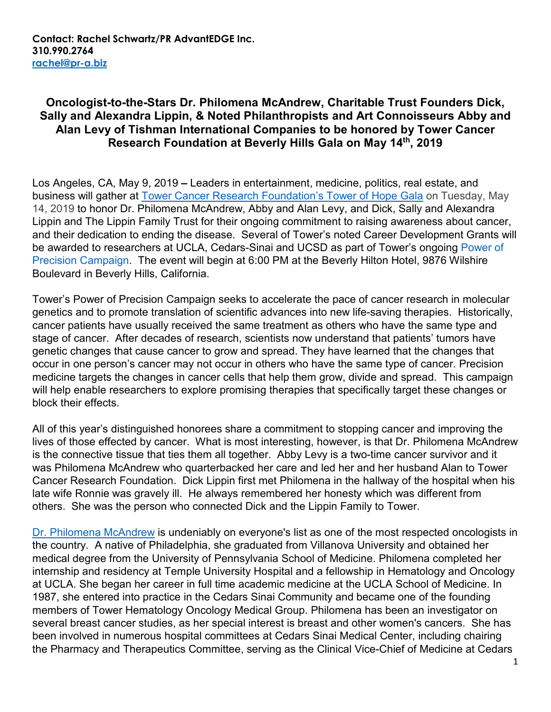## **Oncologist-to-the-Stars Dr. Philomena McAndrew, Charitable Trust Founders Dick, Sally and Alexandra Lippin, & Noted Philanthropists and Art Connoisseurs Abby and Alan Levy of Tishman International Companies to be honored by Tower Cancer Research Foundation at Beverly Hills Gala on May 14th, 2019**

Los Angeles, CA, May 9, 2019 **–** Leaders in entertainment, medicine, politics, real estate, and business will gather at [Tower Cancer Research Foundation's Tower of Hope Gala](https://www.towercancer.org/2019-gala-ticket-page/) on Tuesday, May 14, 2019 to honor Dr. Philomena McAndrew, Abby and Alan Levy, and Dick, Sally and Alexandra Lippin and The Lippin Family Trust for their ongoing commitment to raising awareness about cancer, and their dedication to ending the disease. Several of Tower's noted Career Development Grants will be awarded to researchers at UCLA, Cedars-Sinai and UCSD as part of Tower's ongoing Power of [Precision Campaign.](https://www.towercancer.org/research-grants-about/) The event will begin at 6:00 PM at the Beverly Hilton Hotel, 9876 Wilshire Boulevard in Beverly Hills, California.

Tower's Power of Precision Campaign seeks to accelerate the pace of cancer research in molecular genetics and to promote translation of scientific advances into new life-saving therapies. Historically, cancer patients have usually received the same treatment as others who have the same type and stage of cancer. After decades of research, scientists now understand that patients' tumors have genetic changes that cause cancer to grow and spread. They have learned that the changes that occur in one person's cancer may not occur in others who have the same type of cancer. Precision medicine targets the changes in cancer cells that help them grow, divide and spread. This campaign will help enable researchers to explore promising therapies that specifically target these changes or block their effects.

All of this year's distinguished honorees share a commitment to stopping cancer and improving the lives of those effected by cancer. What is most interesting, however, is that Dr. Philomena McAndrew is the connective tissue that ties them all together. Abby Levy is a two-time cancer survivor and it was Philomena McAndrew who quarterbacked her care and led her and her husband Alan to Tower Cancer Research Foundation. Dick Lippin first met Philomena in the hallway of the hospital when his late wife Ronnie was gravely ill. He always remembered her honesty which was different from others. She was the person who connected Dick and the Lippin Family to Tower.

[Dr. Philomena McAndrew](https://www.towercancer.org/bio-philomena-mcandrew/) is undeniably on everyone's list as one of the most respected oncologists in the country. A native of Philadelphia, she graduated from Villanova University and obtained her medical degree from the University of Pennsylvania School of Medicine. Philomena completed her internship and residency at Temple University Hospital and a fellowship in Hematology and Oncology at UCLA. She began her career in full time academic medicine at the UCLA School of Medicine. In 1987, she entered into practice in the Cedars Sinai Community and became one of the founding members of Tower Hematology Oncology Medical Group. Philomena has been an investigator on several breast cancer studies, as her special interest is breast and other women's cancers. She has been involved in numerous hospital committees at Cedars Sinai Medical Center, including chairing the Pharmacy and Therapeutics Committee, serving as the Clinical Vice-Chief of Medicine at Cedars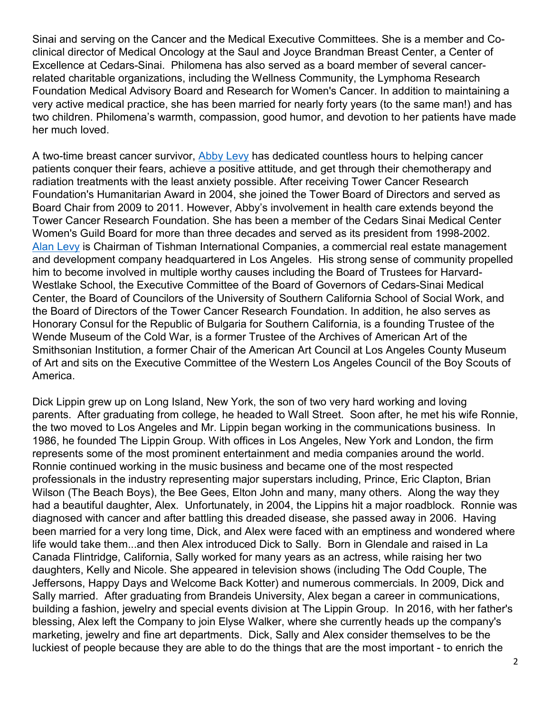Sinai and serving on the Cancer and the Medical Executive Committees. She is a member and Coclinical director of Medical Oncology at the Saul and Joyce Brandman Breast Center, a Center of Excellence at Cedars-Sinai. Philomena has also served as a board member of several cancerrelated charitable organizations, including the Wellness Community, the Lymphoma Research Foundation Medical Advisory Board and Research for Women's Cancer. In addition to maintaining a very active medical practice, she has been married for nearly forty years (to the same man!) and has two children. Philomena's warmth, compassion, good humor, and devotion to her patients have made her much loved.

A two-time breast cancer survivor, [Abby](https://www.towercancer.org/bio-abby-levy/) Levy has dedicated countless hours to helping cancer patients conquer their fears, achieve a positive attitude, and get through their chemotherapy and radiation treatments with the least anxiety possible. After receiving Tower Cancer Research Foundation's Humanitarian Award in 2004, she joined the Tower Board of Directors and served as Board Chair from 2009 to 2011. However, Abby's involvement in health care extends beyond the Tower Cancer Research Foundation. She has been a member of the Cedars Sinai Medical Center Women's Guild Board for more than three decades and served as its president from 1998-2002. Alan [Levy](https://www.towercancer.org/bio-alan-levy/) is Chairman of Tishman International Companies, a commercial real estate management and development company headquartered in Los Angeles. His strong sense of community propelled him to become involved in multiple worthy causes including the Board of Trustees for Harvard-Westlake School, the Executive Committee of the Board of Governors of Cedars-Sinai Medical Center, the Board of Councilors of the University of Southern California School of Social Work, and the Board of Directors of the Tower Cancer Research Foundation. In addition, he also serves as Honorary Consul for the Republic of Bulgaria for Southern California, is a founding Trustee of the Wende Museum of the Cold War, is a former Trustee of the Archives of American Art of the Smithsonian Institution, a former Chair of the American Art Council at Los Angeles County Museum of Art and sits on the Executive Committee of the Western Los Angeles Council of the Boy Scouts of America.

Dick Lippin grew up on Long Island, New York, the son of two very hard working and loving parents. After graduating from college, he headed to Wall Street. Soon after, he met his wife Ronnie, the two moved to Los Angeles and Mr. Lippin began working in the communications business. In 1986, he founded The Lippin Group. With offices in Los Angeles, New York and London, the firm represents some of the most prominent entertainment and media companies around the world. Ronnie continued working in the music business and became one of the most respected professionals in the industry representing major superstars including, Prince, Eric Clapton, Brian Wilson (The Beach Boys), the Bee Gees, Elton John and many, many others. Along the way they had a beautiful daughter, Alex. Unfortunately, in 2004, the Lippins hit a major roadblock. Ronnie was diagnosed with cancer and after battling this dreaded disease, she passed away in 2006. Having been married for a very long time, Dick, and Alex were faced with an emptiness and wondered where life would take them...and then Alex introduced Dick to Sally. Born in Glendale and raised in La Canada Flintridge, California, Sally worked for many years as an actress, while raising her two daughters, Kelly and Nicole. She appeared in television shows (including The Odd Couple, The Jeffersons, Happy Days and Welcome Back Kotter) and numerous commercials. In 2009, Dick and Sally married. After graduating from Brandeis University, Alex began a career in communications, building a fashion, jewelry and special events division at The Lippin Group. In 2016, with her father's blessing, Alex left the Company to join Elyse Walker, where she currently heads up the company's marketing, jewelry and fine art departments. Dick, Sally and Alex consider themselves to be the luckiest of people because they are able to do the things that are the most important - to enrich the